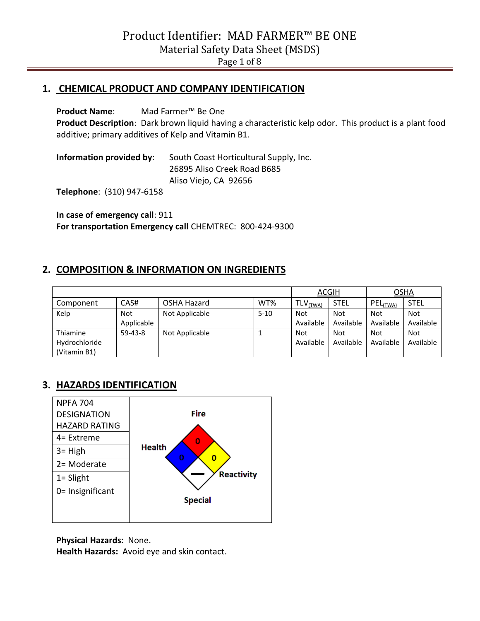#### **1. CHEMICAL PRODUCT AND COMPANY IDENTIFICATION**

**Product Name**: Mad Farmer™ Be One **Product Description**: Dark brown liquid having a characteristic kelp odor. This product is a plant food additive; primary additives of Kelp and Vitamin B1.

**Information provided by**: South Coast Horticultural Supply, Inc. 26895 Aliso Creek Road B685 Aliso Viejo, CA 92656

**Telephone**: (310) 947-6158

**In case of emergency call**: 911 **For transportation Emergency call** CHEMTREC: 800-424-9300

## **2. COMPOSITION & INFORMATION ON INGREDIENTS**

|               |            | <b>ACGIH</b>   |          | OSHA                   |             |            |             |
|---------------|------------|----------------|----------|------------------------|-------------|------------|-------------|
| Component     | CAS#       | OSHA Hazard    | WT%      | $TLV$ <sub>(TWA)</sub> | <b>STEL</b> | PEL(TWA)   | <b>STEL</b> |
| Kelp          | <b>Not</b> | Not Applicable | $5 - 10$ | Not                    | <b>Not</b>  | <b>Not</b> | <b>Not</b>  |
|               | Applicable |                |          | Available              | Available   | Available  | Available   |
| Thiamine      | $59-43-8$  | Not Applicable |          | <b>Not</b>             | <b>Not</b>  | <b>Not</b> | <b>Not</b>  |
| Hydrochloride |            |                |          | Available              | Available   | Available  | Available   |
| (Vitamin B1)  |            |                |          |                        |             |            |             |

# **3. HAZARDS IDENTIFICATION**



**Physical Hazards:** None.

**Health Hazards:** Avoid eye and skin contact.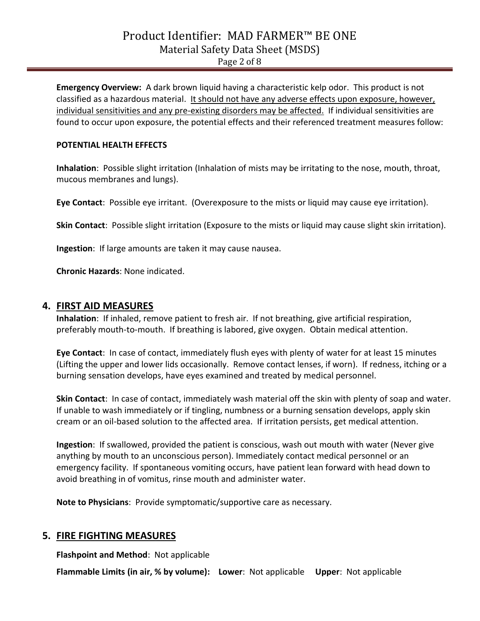**Emergency Overview:** A dark brown liquid having a characteristic kelp odor. This product is not classified as a hazardous material. It should not have any adverse effects upon exposure, however, individual sensitivities and any pre-existing disorders may be affected. If individual sensitivities are found to occur upon exposure, the potential effects and their referenced treatment measures follow:

#### **POTENTIAL HEALTH EFFECTS**

**Inhalation**: Possible slight irritation (Inhalation of mists may be irritating to the nose, mouth, throat, mucous membranes and lungs).

**Eye Contact**: Possible eye irritant. (Overexposure to the mists or liquid may cause eye irritation).

**Skin Contact**: Possible slight irritation (Exposure to the mists or liquid may cause slight skin irritation).

**Ingestion**: If large amounts are taken it may cause nausea.

**Chronic Hazards**: None indicated.

#### **4. FIRST AID MEASURES**

**Inhalation**: If inhaled, remove patient to fresh air. If not breathing, give artificial respiration, preferably mouth-to-mouth. If breathing is labored, give oxygen. Obtain medical attention.

**Eye Contact**: In case of contact, immediately flush eyes with plenty of water for at least 15 minutes (Lifting the upper and lower lids occasionally. Remove contact lenses, if worn). If redness, itching or a burning sensation develops, have eyes examined and treated by medical personnel.

**Skin Contact**: In case of contact, immediately wash material off the skin with plenty of soap and water. If unable to wash immediately or if tingling, numbness or a burning sensation develops, apply skin cream or an oil-based solution to the affected area. If irritation persists, get medical attention.

**Ingestion**: If swallowed, provided the patient is conscious, wash out mouth with water (Never give anything by mouth to an unconscious person). Immediately contact medical personnel or an emergency facility. If spontaneous vomiting occurs, have patient lean forward with head down to avoid breathing in of vomitus, rinse mouth and administer water.

**Note to Physicians**: Provide symptomatic/supportive care as necessary.

## **5. FIRE FIGHTING MEASURES**

**Flashpoint and Method**: Not applicable

**Flammable Limits (in air, % by volume): Lower**: Not applicable **Upper**: Not applicable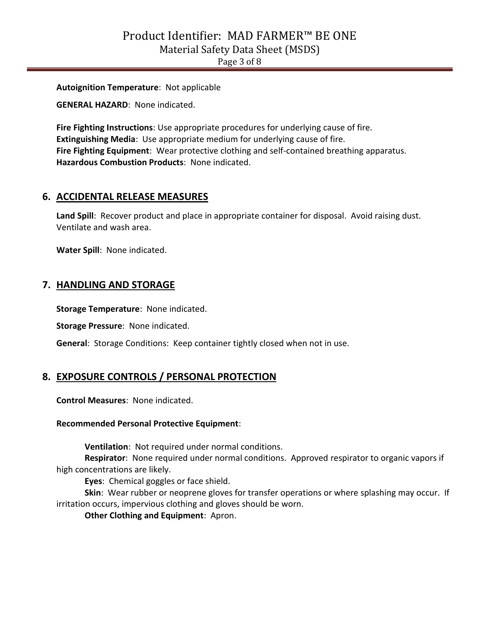**Autoignition Temperature**: Not applicable

**GENERAL HAZARD**: None indicated.

**Fire Fighting Instructions**: Use appropriate procedures for underlying cause of fire. **Extinguishing Media**: Use appropriate medium for underlying cause of fire. **Fire Fighting Equipment**: Wear protective clothing and self-contained breathing apparatus. **Hazardous Combustion Products**: None indicated.

## **6. ACCIDENTAL RELEASE MEASURES**

Land Spill: Recover product and place in appropriate container for disposal. Avoid raising dust. Ventilate and wash area.

**Water Spill**: None indicated.

#### **7. HANDLING AND STORAGE**

**Storage Temperature**: None indicated.

**Storage Pressure**: None indicated.

**General**: Storage Conditions: Keep container tightly closed when not in use.

#### **8. EXPOSURE CONTROLS / PERSONAL PROTECTION**

**Control Measures**: None indicated.

#### **Recommended Personal Protective Equipment**:

**Ventilation**: Not required under normal conditions.

**Respirator**: None required under normal conditions. Approved respirator to organic vapors if high concentrations are likely.

**Eyes**: Chemical goggles or face shield.

**Skin**: Wear rubber or neoprene gloves for transfer operations or where splashing may occur. If irritation occurs, impervious clothing and gloves should be worn.

**Other Clothing and Equipment**: Apron.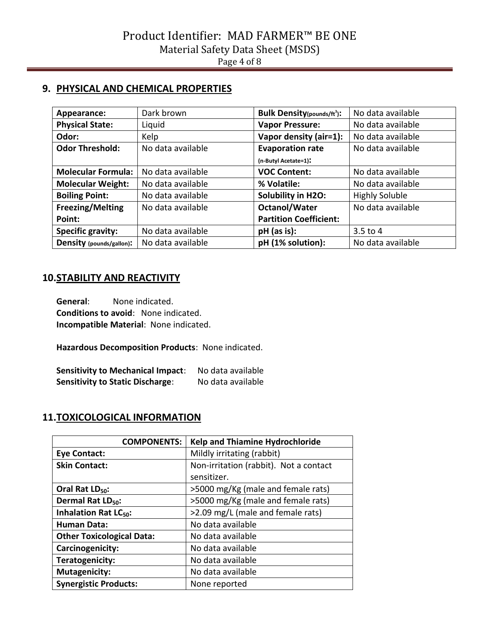# **9. PHYSICAL AND CHEMICAL PROPERTIES**

| Appearance:               | Dark brown        | <b>Bulk Density</b> (pounds/ft <sup>3</sup> ): | No data available     |
|---------------------------|-------------------|------------------------------------------------|-----------------------|
| <b>Physical State:</b>    | Liquid            | <b>Vapor Pressure:</b>                         | No data available     |
| Odor:                     | Kelp              | Vapor density (air=1):                         | No data available     |
| <b>Odor Threshold:</b>    | No data available | <b>Evaporation rate</b>                        | No data available     |
|                           |                   | (n-Butyl Acetate=1):                           |                       |
| <b>Molecular Formula:</b> | No data available | <b>VOC Content:</b>                            | No data available     |
| <b>Molecular Weight:</b>  | No data available | % Volatile:                                    | No data available     |
| <b>Boiling Point:</b>     | No data available | Solubility in H2O:                             | <b>Highly Soluble</b> |
| <b>Freezing/Melting</b>   | No data available | <b>Octanol/Water</b>                           | No data available     |
| Point:                    |                   | <b>Partition Coefficient:</b>                  |                       |
| <b>Specific gravity:</b>  | No data available | $pH$ (as is):                                  | $3.5$ to 4            |
| Density (pounds/gallon):  | No data available | pH (1% solution):                              | No data available     |

# **10.STABILITY AND REACTIVITY**

**General**: None indicated. **Conditions to avoid**: None indicated. **Incompatible Material**: None indicated.

**Hazardous Decomposition Products**: None indicated.

**Sensitivity to Mechanical Impact**: No data available **Sensitivity to Static Discharge**: No data available

# **11.TOXICOLOGICAL INFORMATION**

| <b>COMPONENTS:</b>                | <b>Kelp and Thiamine Hydrochloride</b> |
|-----------------------------------|----------------------------------------|
| <b>Eye Contact:</b>               | Mildly irritating (rabbit)             |
| <b>Skin Contact:</b>              | Non-irritation (rabbit). Not a contact |
|                                   | sensitizer.                            |
| Oral Rat LD <sub>50</sub> :       | >5000 mg/Kg (male and female rats)     |
| Dermal Rat LD <sub>50</sub> :     | >5000 mg/Kg (male and female rats)     |
| Inhalation Rat LC <sub>50</sub> : | >2.09 mg/L (male and female rats)      |
| <b>Human Data:</b>                | No data available                      |
| <b>Other Toxicological Data:</b>  | No data available                      |
| Carcinogenicity:                  | No data available                      |
| Teratogenicity:                   | No data available                      |
| <b>Mutagenicity:</b>              | No data available                      |
| <b>Synergistic Products:</b>      | None reported                          |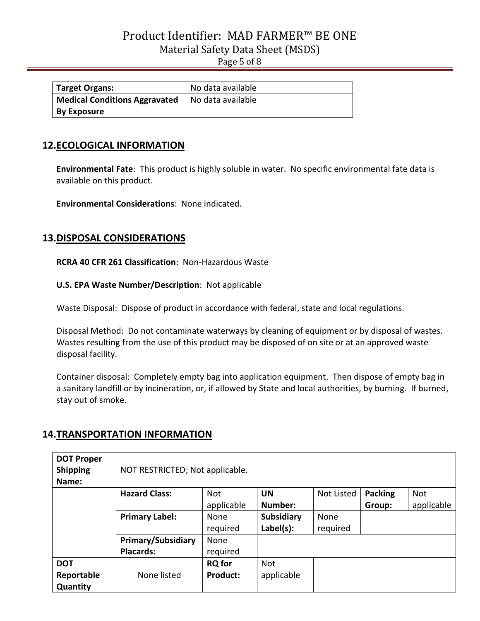Page 5 of 8

| <b>Target Organs:</b>                | No data available |
|--------------------------------------|-------------------|
| <b>Medical Conditions Aggravated</b> | No data available |
| <b>By Exposure</b>                   |                   |

## **12.ECOLOGICAL INFORMATION**

**Environmental Fate**: This product is highly soluble in water. No specific environmental fate data is available on this product.

**Environmental Considerations**: None indicated.

#### **13.DISPOSAL CONSIDERATIONS**

**RCRA 40 CFR 261 Classification**: Non-Hazardous Waste

**U.S. EPA Waste Number/Description**: Not applicable

Waste Disposal: Dispose of product in accordance with federal, state and local regulations.

Disposal Method: Do not contaminate waterways by cleaning of equipment or by disposal of wastes. Wastes resulting from the use of this product may be disposed of on site or at an approved waste disposal facility.

Container disposal: Completely empty bag into application equipment. Then dispose of empty bag in a sanitary landfill or by incineration, or, if allowed by State and local authorities, by burning. If burned, stay out of smoke.

## **14.TRANSPORTATION INFORMATION**

| <b>DOT Proper</b><br><b>Shipping</b><br>Name: | NOT RESTRICTED; Not applicable. |                 |                   |            |                |            |
|-----------------------------------------------|---------------------------------|-----------------|-------------------|------------|----------------|------------|
|                                               | <b>Hazard Class:</b>            | <b>Not</b>      | <b>UN</b>         | Not Listed | <b>Packing</b> | Not        |
|                                               |                                 | applicable      | Number:           |            | Group:         | applicable |
|                                               | <b>Primary Label:</b>           | None            | <b>Subsidiary</b> | None       |                |            |
|                                               |                                 | required        | Label(s):         | required   |                |            |
|                                               | <b>Primary/Subsidiary</b>       | None            |                   |            |                |            |
|                                               | <b>Placards:</b>                | required        |                   |            |                |            |
| <b>DOT</b>                                    |                                 | <b>RQ</b> for   | <b>Not</b>        |            |                |            |
| Reportable                                    | None listed                     | <b>Product:</b> | applicable        |            |                |            |
| Quantity                                      |                                 |                 |                   |            |                |            |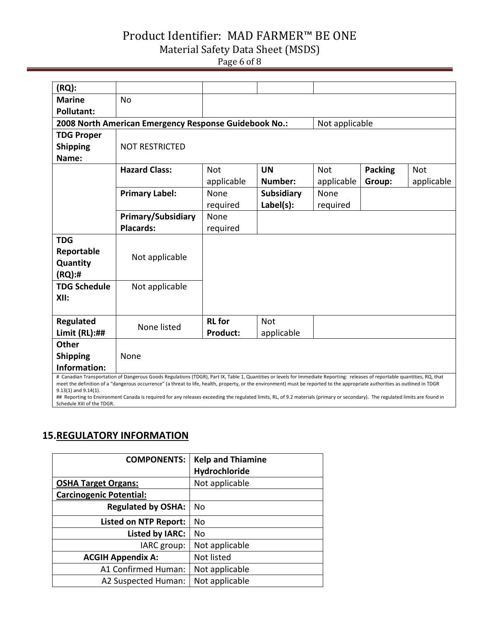# Product Identifier: MAD FARMER™ BE ONE

#### Material Safety Data Sheet (MSDS)

Page 6 of 8

| (RQ):                                                                                                                                                                                                                                                                                                                                                                                                                                                                                                                                                                       |                                                       |                 |                   |                |                |            |
|-----------------------------------------------------------------------------------------------------------------------------------------------------------------------------------------------------------------------------------------------------------------------------------------------------------------------------------------------------------------------------------------------------------------------------------------------------------------------------------------------------------------------------------------------------------------------------|-------------------------------------------------------|-----------------|-------------------|----------------|----------------|------------|
| <b>Marine</b>                                                                                                                                                                                                                                                                                                                                                                                                                                                                                                                                                               | <b>No</b>                                             |                 |                   |                |                |            |
| <b>Pollutant:</b>                                                                                                                                                                                                                                                                                                                                                                                                                                                                                                                                                           |                                                       |                 |                   |                |                |            |
|                                                                                                                                                                                                                                                                                                                                                                                                                                                                                                                                                                             | 2008 North American Emergency Response Guidebook No.: |                 |                   | Not applicable |                |            |
| <b>TDG Proper</b>                                                                                                                                                                                                                                                                                                                                                                                                                                                                                                                                                           |                                                       |                 |                   |                |                |            |
| <b>Shipping</b>                                                                                                                                                                                                                                                                                                                                                                                                                                                                                                                                                             | <b>NOT RESTRICTED</b>                                 |                 |                   |                |                |            |
| Name:                                                                                                                                                                                                                                                                                                                                                                                                                                                                                                                                                                       |                                                       |                 |                   |                |                |            |
|                                                                                                                                                                                                                                                                                                                                                                                                                                                                                                                                                                             | <b>Hazard Class:</b>                                  | <b>Not</b>      | <b>UN</b>         | <b>Not</b>     | <b>Packing</b> | <b>Not</b> |
|                                                                                                                                                                                                                                                                                                                                                                                                                                                                                                                                                                             |                                                       | applicable      | Number:           | applicable     | Group:         | applicable |
|                                                                                                                                                                                                                                                                                                                                                                                                                                                                                                                                                                             | <b>Primary Label:</b>                                 | None            | <b>Subsidiary</b> | None           |                |            |
|                                                                                                                                                                                                                                                                                                                                                                                                                                                                                                                                                                             |                                                       | required        | Label(s):         | required       |                |            |
|                                                                                                                                                                                                                                                                                                                                                                                                                                                                                                                                                                             | <b>Primary/Subsidiary</b>                             | None            |                   |                |                |            |
|                                                                                                                                                                                                                                                                                                                                                                                                                                                                                                                                                                             | <b>Placards:</b>                                      | required        |                   |                |                |            |
| <b>TDG</b>                                                                                                                                                                                                                                                                                                                                                                                                                                                                                                                                                                  |                                                       |                 |                   |                |                |            |
| Reportable                                                                                                                                                                                                                                                                                                                                                                                                                                                                                                                                                                  | Not applicable                                        |                 |                   |                |                |            |
| Quantity                                                                                                                                                                                                                                                                                                                                                                                                                                                                                                                                                                    |                                                       |                 |                   |                |                |            |
| (RQ):#                                                                                                                                                                                                                                                                                                                                                                                                                                                                                                                                                                      |                                                       |                 |                   |                |                |            |
| <b>TDG Schedule</b>                                                                                                                                                                                                                                                                                                                                                                                                                                                                                                                                                         | Not applicable                                        |                 |                   |                |                |            |
| XII:                                                                                                                                                                                                                                                                                                                                                                                                                                                                                                                                                                        |                                                       |                 |                   |                |                |            |
|                                                                                                                                                                                                                                                                                                                                                                                                                                                                                                                                                                             |                                                       |                 |                   |                |                |            |
| Regulated                                                                                                                                                                                                                                                                                                                                                                                                                                                                                                                                                                   | None listed                                           | <b>RL</b> for   | <b>Not</b>        |                |                |            |
| Limit $(RL):##$                                                                                                                                                                                                                                                                                                                                                                                                                                                                                                                                                             |                                                       | <b>Product:</b> | applicable        |                |                |            |
| <b>Other</b>                                                                                                                                                                                                                                                                                                                                                                                                                                                                                                                                                                |                                                       |                 |                   |                |                |            |
| <b>Shipping</b>                                                                                                                                                                                                                                                                                                                                                                                                                                                                                                                                                             | None                                                  |                 |                   |                |                |            |
| Information:                                                                                                                                                                                                                                                                                                                                                                                                                                                                                                                                                                |                                                       |                 |                   |                |                |            |
| # Canadian Transportation of Dangerous Goods Regulations (TDGR), Part IX, Table 1, Quantities or levels for Immediate Reporting: releases of reportable quantities, RQ, that<br>meet the definition of a "dangerous occurrence" (a threat to life, health, property, or the environment) must be reported to the appropriate authorities as outlined in TDGR<br>$9.13(1)$ and $9.14(1)$ .<br>## Reporting to Environment Canada is required for any releases exceeding the regulated limits, RL, of 9.2 materials (primary or secondary). The regulated limits are found in |                                                       |                 |                   |                |                |            |

Schedule XIII of the TDGR.

# **15.REGULATORY INFORMATION**

| <b>COMPONENTS:</b>             | <b>Kelp and Thiamine</b> |
|--------------------------------|--------------------------|
|                                | Hydrochloride            |
| <b>OSHA Target Organs:</b>     | Not applicable           |
| <b>Carcinogenic Potential:</b> |                          |
| <b>Regulated by OSHA:</b>      | <b>No</b>                |
| <b>Listed on NTP Report:</b>   | No                       |
| <b>Listed by IARC:</b>         | No                       |
| IARC group:                    | Not applicable           |
| <b>ACGIH Appendix A:</b>       | Not listed               |
| A1 Confirmed Human:            | Not applicable           |
| A2 Suspected Human:            | Not applicable           |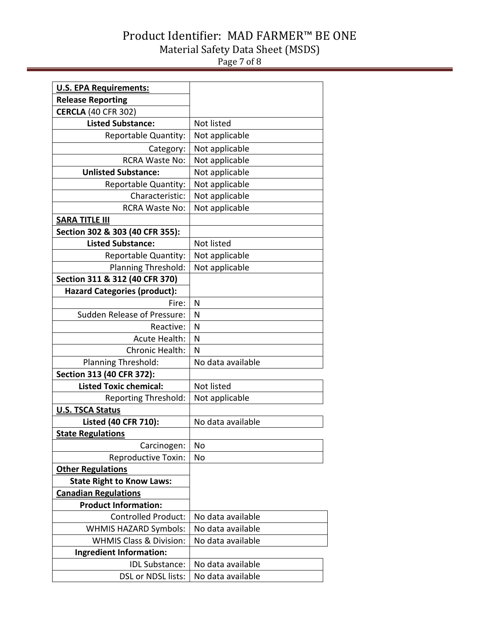# Product Identifier: MAD FARMER™ BE ONE Material Safety Data Sheet (MSDS) Page 7 of 8

| <b>U.S. EPA Requirements:</b>       |                   |  |  |
|-------------------------------------|-------------------|--|--|
| <b>Release Reporting</b>            |                   |  |  |
| <b>CERCLA (40 CFR 302)</b>          |                   |  |  |
| <b>Listed Substance:</b>            | Not listed        |  |  |
| Reportable Quantity:                | Not applicable    |  |  |
| Category:                           | Not applicable    |  |  |
| <b>RCRA Waste No:</b>               | Not applicable    |  |  |
| <b>Unlisted Substance:</b>          | Not applicable    |  |  |
| Reportable Quantity:                | Not applicable    |  |  |
| Characteristic:                     | Not applicable    |  |  |
| <b>RCRA Waste No:</b>               | Not applicable    |  |  |
| <b>SARA TITLE III</b>               |                   |  |  |
| Section 302 & 303 (40 CFR 355):     |                   |  |  |
| <b>Listed Substance:</b>            | Not listed        |  |  |
| Reportable Quantity:                | Not applicable    |  |  |
| Planning Threshold:                 | Not applicable    |  |  |
| Section 311 & 312 (40 CFR 370)      |                   |  |  |
| <b>Hazard Categories (product):</b> |                   |  |  |
| Fire:                               | N                 |  |  |
| <b>Sudden Release of Pressure:</b>  | N                 |  |  |
| Reactive:                           | N                 |  |  |
| <b>Acute Health:</b>                | N                 |  |  |
| Chronic Health:                     | N                 |  |  |
| Planning Threshold:                 | No data available |  |  |
| Section 313 (40 CFR 372):           |                   |  |  |
| <b>Listed Toxic chemical:</b>       | Not listed        |  |  |
| <b>Reporting Threshold:</b>         | Not applicable    |  |  |
| <b>U.S. TSCA Status</b>             |                   |  |  |
| Listed (40 CFR 710):                | No data available |  |  |
| <b>State Regulations</b>            |                   |  |  |
| Carcinogen:                         | <b>No</b>         |  |  |
| <b>Reproductive Toxin:</b>          | No                |  |  |
| <b>Other Regulations</b>            |                   |  |  |
| <b>State Right to Know Laws:</b>    |                   |  |  |
| <b>Canadian Regulations</b>         |                   |  |  |
| <b>Product Information:</b>         |                   |  |  |
| <b>Controlled Product:</b>          | No data available |  |  |
| <b>WHMIS HAZARD Symbols:</b>        | No data available |  |  |
| <b>WHMIS Class &amp; Division:</b>  | No data available |  |  |
| Ingredient Information:             |                   |  |  |
| <b>IDL Substance:</b>               | No data available |  |  |
| DSL or NDSL lists:                  | No data available |  |  |